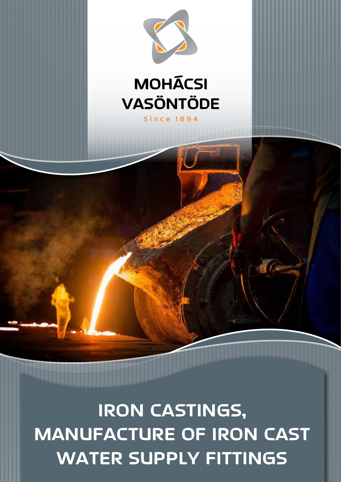# **IRON CASTINGS, MANUFACTURE OF IRON CAST WATER SUPPLY FITTINGS**



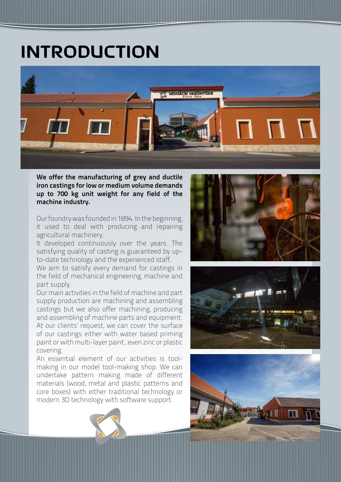## **INTRODUCTION**



We offer the manufacturing of grey and ductile iron castings for low or medium volume demands up to 700 kg unit weight for any field of the machine industry.

Our foundry was founded in 1894. In the beginning, it used to deal with producing and repairing agricultural machinery.

It developed continuously over the years. The satisfying quality of casting is guaranteed by upto-date technology and the experienced staff.

We aim to satisfy every demand for castings in the field of mechanical engineering, machine and part supply.

Our main activities in the field of machine and part supply production are machining and assembling castings but we also offer machining, producing and assembling of machine parts and equipment. At our clients' request, we can cover the surface of our castings either with water based priming paint or with multi-layer paint , even zinc or plastic covering.

An essential element of our activities is toolmaking in our model tool-making shop. We can undertake pattern making made of different materials (wood, metal and plastic patterns and core boxes) with either traditional technology or modern 3D technology with software support.





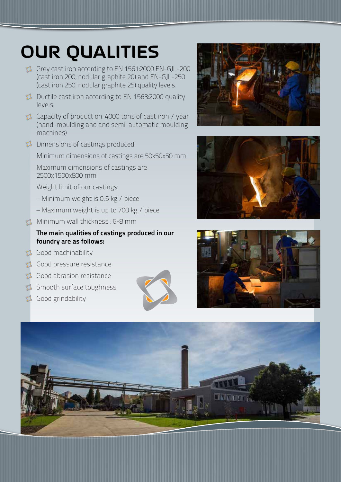# **OUR QUALITIES**

- Grey cast iron according to EN 1561:2000 EN-GJL-200 (cast iron 200, nodular graphite 20) and EN-GJL-250 (cast iron 250, nodular graphite 25) quality levels.
- Ductile cast iron according to EN 1563:2000 quality levels
- Capacity of production: 4000 tons of cast iron / year (hand-moulding and and semi-automatic moulding machines)
- Dimensions of castings produced:

Minimum dimensions of castings are 50x50x50 mm

Maximum dimensions of castings are 2500x1500x800 mm

Weight limit of our castings:

- Minimum weight is 0.5 kg / piece
- Maximum weight is up to 700 kg / piece
- **Minimum wall thickness : 6-8 mm**

#### The main qualities of castings produced in our foundry are as follows:

- Good machinability
- Good pressure resistance
- Good abrasion resistance
- Smooth surface toughness
- Good grindability









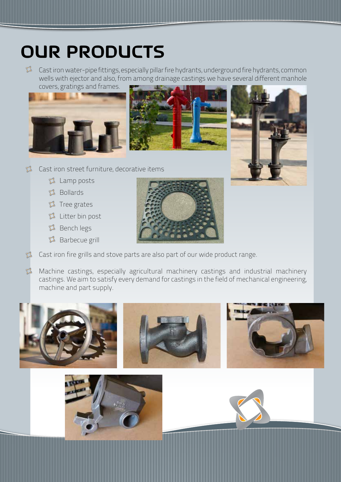## **OUR PRODUCTS**

Cast iron water-pipe fittings, especially pillar fire hydrants, underground fire hydrants, common wells with ejector and also, from among drainage castings we have several different manhole covers, gratings and frames.







- Cast iron street furniture, decorative items  $\mathbb{Z}^*$ 
	- Lamp posts
	- Bollards
	- $\Omega$  Tree grates
	- Litter bin post
	- **Bench legs**

 $\langle \cdot \rangle$ 

Barbecue grill



 $\langle \cdot \rangle$ Machine castings, especially agricultural machinery castings and industrial machinery castings. We aim to satisfy every demand for castings in the field of mechanical engineering, machine and part supply.



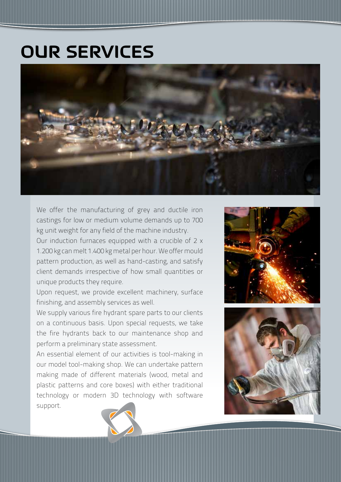### **OUR SERVICES**



We offer the manufacturing of grey and ductile iron castings for low or medium volume demands up to 700 kg unit weight for any field of the machine industry.

Our induction furnaces equipped with a crucible of 2 x 1.200 kg can melt 1.400 kg metal per hour. We offer mould pattern production, as well as hand-casting, and satisfy client demands irrespective of how small quantities or unique products they require.

Upon request, we provide excellent machinery, surface finishing, and assembly services as well.

We supply various fire hydrant spare parts to our clients on a continuous basis. Upon special requests, we take the fire hydrants back to our maintenance shop and perform a preliminary state assessment.

An essential element of our activities is tool-making in our model tool-making shop. We can undertake pattern making made of different materials (wood, metal and plastic patterns and core boxes) with either traditional technology or modern 3D technology with software support.